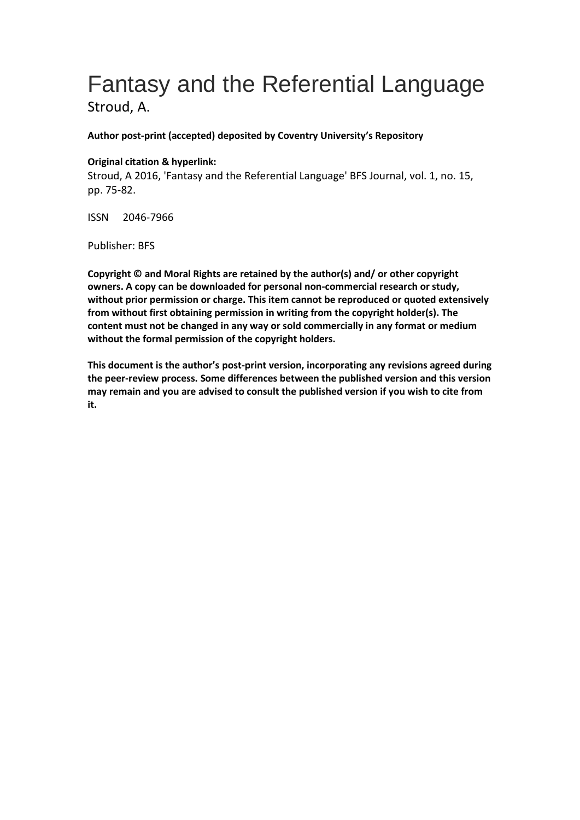# Fantasy and the Referential Language

Stroud, A.

**Author post-print (accepted) deposited by Coventry University's Repository**

#### **Original citation & hyperlink:**

Stroud, A 2016, 'Fantasy and the Referential Language' BFS Journal, vol. 1, no. 15, pp. 75-82.

ISSN 2046-7966

Publisher: BFS

**Copyright © and Moral Rights are retained by the author(s) and/ or other copyright owners. A copy can be downloaded for personal non-commercial research or study, without prior permission or charge. This item cannot be reproduced or quoted extensively from without first obtaining permission in writing from the copyright holder(s). The content must not be changed in any way or sold commercially in any format or medium without the formal permission of the copyright holders.** 

**This document is the author's post-print version, incorporating any revisions agreed during the peer-review process. Some differences between the published version and this version may remain and you are advised to consult the published version if you wish to cite from it.**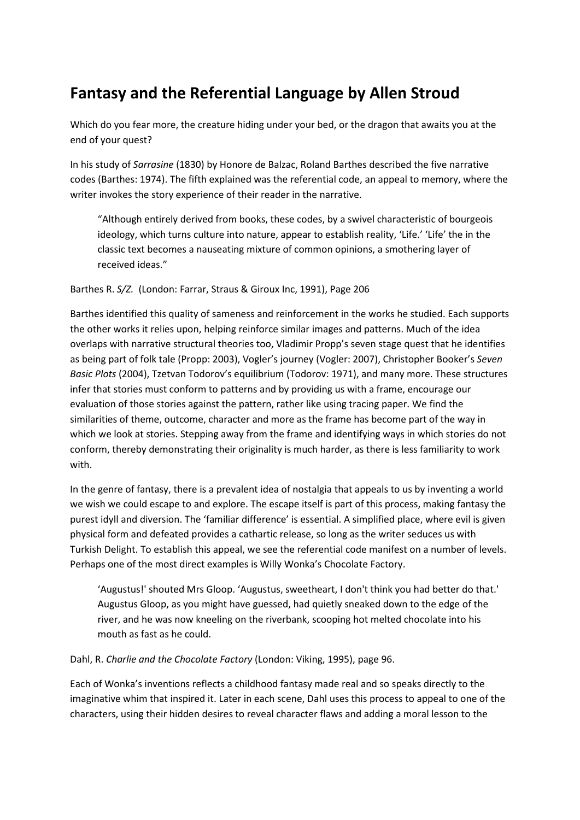# **Fantasy and the Referential Language by Allen Stroud**

Which do you fear more, the creature hiding under your bed, or the dragon that awaits you at the end of your quest?

In his study of *Sarrasine* (1830) by Honore de Balzac, Roland Barthes described the five narrative codes (Barthes: 1974). The fifth explained was the referential code, an appeal to memory, where the writer invokes the story experience of their reader in the narrative.

"Although entirely derived from books, these codes, by a swivel characteristic of bourgeois ideology, which turns culture into nature, appear to establish reality, 'Life.' 'Life' the in the classic text becomes a nauseating mixture of common opinions, a smothering layer of received ideas."

Barthes R. *S/Z.* (London: Farrar, Straus & Giroux Inc, 1991), Page 206

Barthes identified this quality of sameness and reinforcement in the works he studied. Each supports the other works it relies upon, helping reinforce similar images and patterns. Much of the idea overlaps with narrative structural theories too, Vladimir Propp's seven stage quest that he identifies as being part of folk tale (Propp: 2003), Vogler's journey (Vogler: 2007), Christopher Booker's *Seven Basic Plots* (2004), Tzetvan Todorov's equilibrium (Todorov: 1971), and many more. These structures infer that stories must conform to patterns and by providing us with a frame, encourage our evaluation of those stories against the pattern, rather like using tracing paper. We find the similarities of theme, outcome, character and more as the frame has become part of the way in which we look at stories. Stepping away from the frame and identifying ways in which stories do not conform, thereby demonstrating their originality is much harder, as there is less familiarity to work with.

In the genre of fantasy, there is a prevalent idea of nostalgia that appeals to us by inventing a world we wish we could escape to and explore. The escape itself is part of this process, making fantasy the purest idyll and diversion. The 'familiar difference' is essential. A simplified place, where evil is given physical form and defeated provides a cathartic release, so long as the writer seduces us with Turkish Delight. To establish this appeal, we see the referential code manifest on a number of levels. Perhaps one of the most direct examples is Willy Wonka's Chocolate Factory.

'Augustus!' shouted Mrs Gloop. 'Augustus, sweetheart, I don't think you had better do that.' Augustus Gloop, as you might have guessed, had quietly sneaked down to the edge of the river, and he was now kneeling on the riverbank, scooping hot melted chocolate into his mouth as fast as he could.

Dahl, R. *Charlie and the Chocolate Factory* (London: Viking, 1995), page 96.

Each of Wonka's inventions reflects a childhood fantasy made real and so speaks directly to the imaginative whim that inspired it. Later in each scene, Dahl uses this process to appeal to one of the characters, using their hidden desires to reveal character flaws and adding a moral lesson to the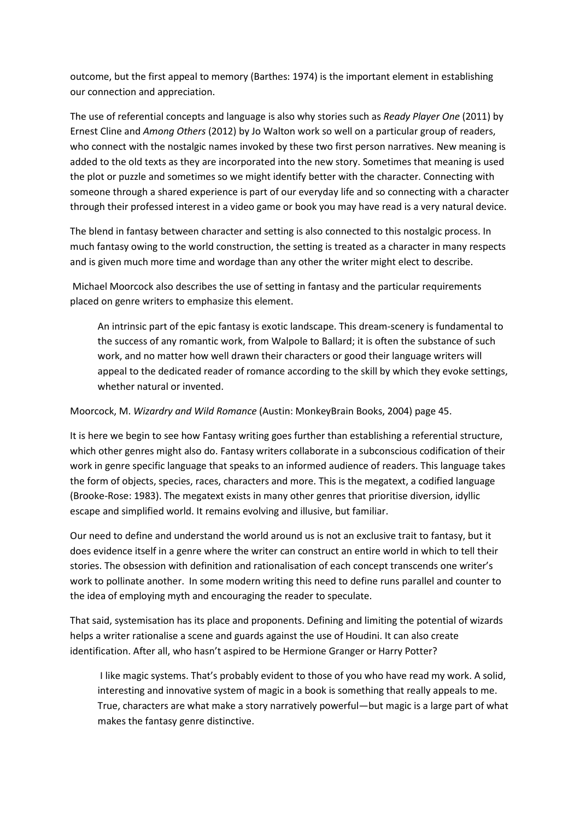outcome, but the first appeal to memory (Barthes: 1974) is the important element in establishing our connection and appreciation.

The use of referential concepts and language is also why stories such as *Ready Player One* (2011) by Ernest Cline and *Among Others* (2012) by Jo Walton work so well on a particular group of readers, who connect with the nostalgic names invoked by these two first person narratives. New meaning is added to the old texts as they are incorporated into the new story. Sometimes that meaning is used the plot or puzzle and sometimes so we might identify better with the character. Connecting with someone through a shared experience is part of our everyday life and so connecting with a character through their professed interest in a video game or book you may have read is a very natural device.

The blend in fantasy between character and setting is also connected to this nostalgic process. In much fantasy owing to the world construction, the setting is treated as a character in many respects and is given much more time and wordage than any other the writer might elect to describe.

Michael Moorcock also describes the use of setting in fantasy and the particular requirements placed on genre writers to emphasize this element.

An intrinsic part of the epic fantasy is exotic landscape. This dream-scenery is fundamental to the success of any romantic work, from Walpole to Ballard; it is often the substance of such work, and no matter how well drawn their characters or good their language writers will appeal to the dedicated reader of romance according to the skill by which they evoke settings, whether natural or invented.

Moorcock, M. *Wizardry and Wild Romance* (Austin: MonkeyBrain Books, 2004) page 45.

It is here we begin to see how Fantasy writing goes further than establishing a referential structure, which other genres might also do. Fantasy writers collaborate in a subconscious codification of their work in genre specific language that speaks to an informed audience of readers. This language takes the form of objects, species, races, characters and more. This is the megatext, a codified language (Brooke-Rose: 1983). The megatext exists in many other genres that prioritise diversion, idyllic escape and simplified world. It remains evolving and illusive, but familiar.

Our need to define and understand the world around us is not an exclusive trait to fantasy, but it does evidence itself in a genre where the writer can construct an entire world in which to tell their stories. The obsession with definition and rationalisation of each concept transcends one writer's work to pollinate another. In some modern writing this need to define runs parallel and counter to the idea of employing myth and encouraging the reader to speculate.

That said, systemisation has its place and proponents. Defining and limiting the potential of wizards helps a writer rationalise a scene and guards against the use of Houdini. It can also create identification. After all, who hasn't aspired to be Hermione Granger or Harry Potter?

I like magic systems. That's probably evident to those of you who have read my work. A solid, interesting and innovative system of magic in a book is something that really appeals to me. True, characters are what make a story narratively powerful—but magic is a large part of what makes the fantasy genre distinctive.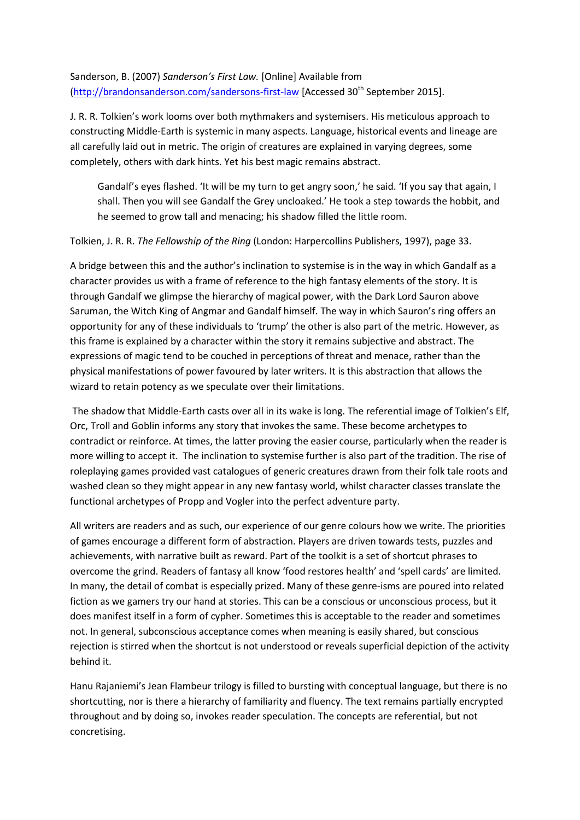Sanderson, B. (2007) *Sanderson's First Law.* [Online] Available from [\(http://brandonsanderson.com/sandersons-first-law](http://brandonsanderson.com/sandersons-first-law) [Accessed 30<sup>th</sup> September 2015].

J. R. R. Tolkien's work looms over both mythmakers and systemisers. His meticulous approach to constructing Middle-Earth is systemic in many aspects. Language, historical events and lineage are all carefully laid out in metric. The origin of creatures are explained in varying degrees, some completely, others with dark hints. Yet his best magic remains abstract.

Gandalf's eyes flashed. 'It will be my turn to get angry soon,' he said. 'If you say that again, I shall. Then you will see Gandalf the Grey uncloaked.' He took a step towards the hobbit, and he seemed to grow tall and menacing; his shadow filled the little room.

Tolkien, J. R. R. *The Fellowship of the Ring* (London: Harpercollins Publishers, 1997), page 33.

A bridge between this and the author's inclination to systemise is in the way in which Gandalf as a character provides us with a frame of reference to the high fantasy elements of the story. It is through Gandalf we glimpse the hierarchy of magical power, with the Dark Lord Sauron above Saruman, the Witch King of Angmar and Gandalf himself. The way in which Sauron's ring offers an opportunity for any of these individuals to 'trump' the other is also part of the metric. However, as this frame is explained by a character within the story it remains subjective and abstract. The expressions of magic tend to be couched in perceptions of threat and menace, rather than the physical manifestations of power favoured by later writers. It is this abstraction that allows the wizard to retain potency as we speculate over their limitations.

The shadow that Middle-Earth casts over all in its wake is long. The referential image of Tolkien's Elf, Orc, Troll and Goblin informs any story that invokes the same. These become archetypes to contradict or reinforce. At times, the latter proving the easier course, particularly when the reader is more willing to accept it. The inclination to systemise further is also part of the tradition. The rise of roleplaying games provided vast catalogues of generic creatures drawn from their folk tale roots and washed clean so they might appear in any new fantasy world, whilst character classes translate the functional archetypes of Propp and Vogler into the perfect adventure party.

All writers are readers and as such, our experience of our genre colours how we write. The priorities of games encourage a different form of abstraction. Players are driven towards tests, puzzles and achievements, with narrative built as reward. Part of the toolkit is a set of shortcut phrases to overcome the grind. Readers of fantasy all know 'food restores health' and 'spell cards' are limited. In many, the detail of combat is especially prized. Many of these genre-isms are poured into related fiction as we gamers try our hand at stories. This can be a conscious or unconscious process, but it does manifest itself in a form of cypher. Sometimes this is acceptable to the reader and sometimes not. In general, subconscious acceptance comes when meaning is easily shared, but conscious rejection is stirred when the shortcut is not understood or reveals superficial depiction of the activity behind it.

Hanu Rajaniemi's Jean Flambeur trilogy is filled to bursting with conceptual language, but there is no shortcutting, nor is there a hierarchy of familiarity and fluency. The text remains partially encrypted throughout and by doing so, invokes reader speculation. The concepts are referential, but not concretising.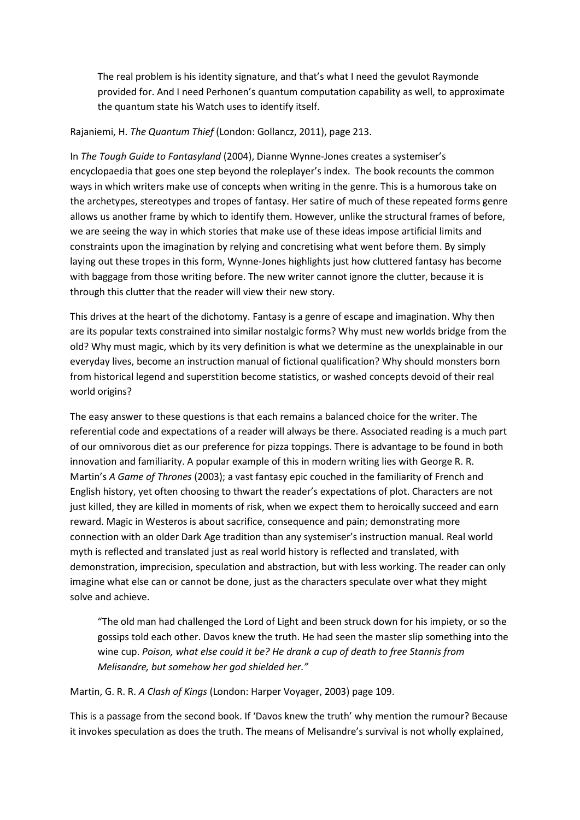The real problem is his identity signature, and that's what I need the gevulot Raymonde provided for. And I need Perhonen's quantum computation capability as well, to approximate the quantum state his Watch uses to identify itself.

#### Rajaniemi, H. *The Quantum Thief* (London: Gollancz, 2011), page 213.

In *The Tough Guide to Fantasyland* (2004), Dianne Wynne-Jones creates a systemiser's encyclopaedia that goes one step beyond the roleplayer's index. The book recounts the common ways in which writers make use of concepts when writing in the genre. This is a humorous take on the archetypes, stereotypes and tropes of fantasy. Her satire of much of these repeated forms genre allows us another frame by which to identify them. However, unlike the structural frames of before, we are seeing the way in which stories that make use of these ideas impose artificial limits and constraints upon the imagination by relying and concretising what went before them. By simply laying out these tropes in this form, Wynne-Jones highlights just how cluttered fantasy has become with baggage from those writing before. The new writer cannot ignore the clutter, because it is through this clutter that the reader will view their new story.

This drives at the heart of the dichotomy. Fantasy is a genre of escape and imagination. Why then are its popular texts constrained into similar nostalgic forms? Why must new worlds bridge from the old? Why must magic, which by its very definition is what we determine as the unexplainable in our everyday lives, become an instruction manual of fictional qualification? Why should monsters born from historical legend and superstition become statistics, or washed concepts devoid of their real world origins?

The easy answer to these questions is that each remains a balanced choice for the writer. The referential code and expectations of a reader will always be there. Associated reading is a much part of our omnivorous diet as our preference for pizza toppings. There is advantage to be found in both innovation and familiarity. A popular example of this in modern writing lies with George R. R. Martin's *A Game of Thrones* (2003); a vast fantasy epic couched in the familiarity of French and English history, yet often choosing to thwart the reader's expectations of plot. Characters are not just killed, they are killed in moments of risk, when we expect them to heroically succeed and earn reward. Magic in Westeros is about sacrifice, consequence and pain; demonstrating more connection with an older Dark Age tradition than any systemiser's instruction manual. Real world myth is reflected and translated just as real world history is reflected and translated, with demonstration, imprecision, speculation and abstraction, but with less working. The reader can only imagine what else can or cannot be done, just as the characters speculate over what they might solve and achieve.

"The old man had challenged the Lord of Light and been struck down for his impiety, or so the gossips told each other. Davos knew the truth. He had seen the master slip something into the wine cup. *Poison, what else could it be? He drank a cup of death to free Stannis from Melisandre, but somehow her god shielded her."*

Martin, G. R. R. *A Clash of Kings* (London: Harper Voyager, 2003) page 109.

This is a passage from the second book. If 'Davos knew the truth' why mention the rumour? Because it invokes speculation as does the truth. The means of Melisandre's survival is not wholly explained,